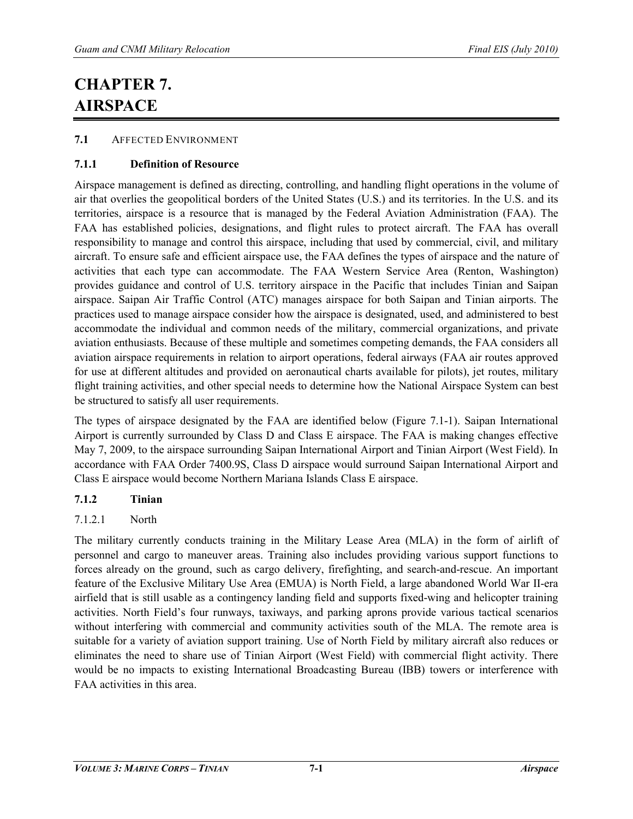# **CHAPTER 7. AIRSPACE**

## **7.1** AFFECTED ENVIRONMENT

## **7.1.1 Definition of Resource**

Airspace management is defined as directing, controlling, and handling flight operations in the volume of air that overlies the geopolitical borders of the United States (U.S.) and its territories. In the U.S. and its territories, airspace is a resource that is managed by the Federal Aviation Administration (FAA). The FAA has established policies, designations, and flight rules to protect aircraft. The FAA has overall responsibility to manage and control this airspace, including that used by commercial, civil, and military aircraft. To ensure safe and efficient airspace use, the FAA defines the types of airspace and the nature of activities that each type can accommodate. The FAA Western Service Area (Renton, Washington) provides guidance and control of U.S. territory airspace in the Pacific that includes Tinian and Saipan airspace. Saipan Air Traffic Control (ATC) manages airspace for both Saipan and Tinian airports. The practices used to manage airspace consider how the airspace is designated, used, and administered to best accommodate the individual and common needs of the military, commercial organizations, and private aviation enthusiasts. Because of these multiple and sometimes competing demands, the FAA considers all aviation airspace requirements in relation to airport operations, federal airways (FAA air routes approved for use at different altitudes and provided on aeronautical charts available for pilots), jet routes, military flight training activities, and other special needs to determine how the National Airspace System can best be structured to satisfy all user requirements.

The types of airspace designated by the FAA are identified below (Figure 7.1-1). Saipan International Airport is currently surrounded by Class D and Class E airspace. The FAA is making changes effective May 7, 2009, to the airspace surrounding Saipan International Airport and Tinian Airport (West Field). In accordance with FAA Order 7400.9S, Class D airspace would surround Saipan International Airport and Class E airspace would become Northern Mariana Islands Class E airspace.

## **7.1.2 Tinian**

# 7.1.2.1 North

The military currently conducts training in the Military Lease Area (MLA) in the form of airlift of personnel and cargo to maneuver areas. Training also includes providing various support functions to forces already on the ground, such as cargo delivery, firefighting, and search-and-rescue. An important feature of the Exclusive Military Use Area (EMUA) is North Field, a large abandoned World War II-era airfield that is still usable as a contingency landing field and supports fixed-wing and helicopter training activities. North Field's four runways, taxiways, and parking aprons provide various tactical scenarios without interfering with commercial and community activities south of the MLA. The remote area is suitable for a variety of aviation support training. Use of North Field by military aircraft also reduces or eliminates the need to share use of Tinian Airport (West Field) with commercial flight activity. There would be no impacts to existing International Broadcasting Bureau (IBB) towers or interference with FAA activities in this area.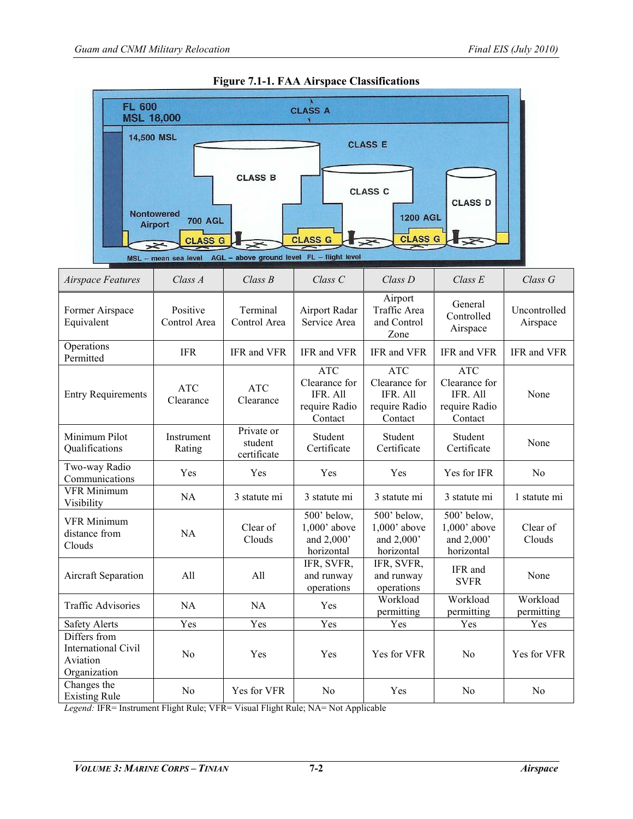

#### **Figure 7.1-1. FAA Airspace Classifications**

*Legend:* IFR= Instrument Flight Rule; VFR= Visual Flight Rule; NA= Not Applicable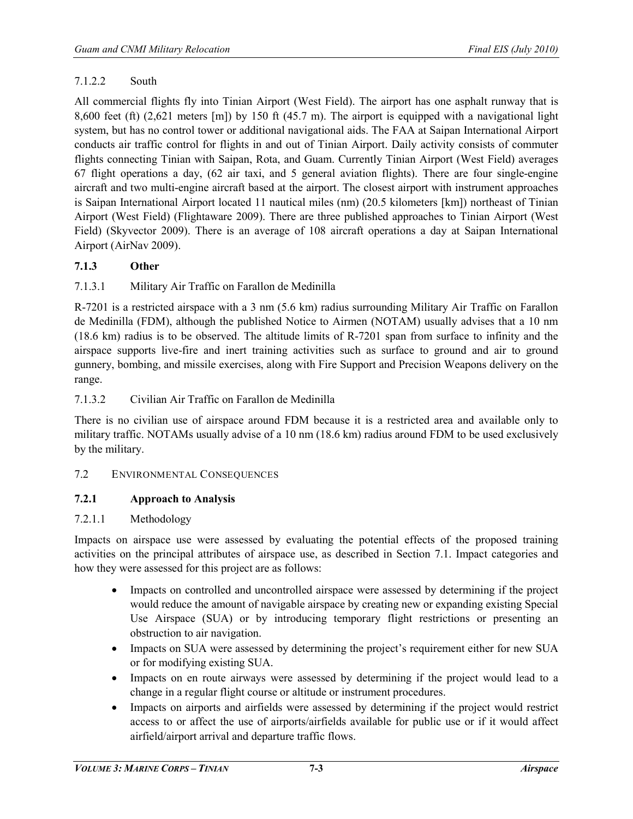## 7.1.2.2 South

All commercial flights fly into Tinian Airport (West Field). The airport has one asphalt runway that is 8,600 feet (ft) (2,621 meters [m]) by 150 ft (45.7 m). The airport is equipped with a navigational light system, but has no control tower or additional navigational aids. The FAA at Saipan International Airport conducts air traffic control for flights in and out of Tinian Airport. Daily activity consists of commuter flights connecting Tinian with Saipan, Rota, and Guam. Currently Tinian Airport (West Field) averages 67 flight operations a day, (62 air taxi, and 5 general aviation flights). There are four single-engine aircraft and two multi-engine aircraft based at the airport. The closest airport with instrument approaches is Saipan International Airport located 11 nautical miles (nm) (20.5 kilometers [km]) northeast of Tinian Airport (West Field) (Flightaware 2009). There are three published approaches to Tinian Airport (West Field) (Skyvector 2009). There is an average of 108 aircraft operations a day at Saipan International Airport (AirNav 2009).

## **7.1.3 Other**

## 7.1.3.1 Military Air Traffic on Farallon de Medinilla

R-7201 is a restricted airspace with a 3 nm (5.6 km) radius surrounding Military Air Traffic on Farallon de Medinilla (FDM), although the published Notice to Airmen (NOTAM) usually advises that a 10 nm (18.6 km) radius is to be observed. The altitude limits of R-7201 span from surface to infinity and the airspace supports live-fire and inert training activities such as surface to ground and air to ground gunnery, bombing, and missile exercises, along with Fire Support and Precision Weapons delivery on the range.

## 7.1.3.2 Civilian Air Traffic on Farallon de Medinilla

There is no civilian use of airspace around FDM because it is a restricted area and available only to military traffic. NOTAMs usually advise of a 10 nm (18.6 km) radius around FDM to be used exclusively by the military.

## 7.2 ENVIRONMENTAL CONSEQUENCES

## **7.2.1 Approach to Analysis**

## 7.2.1.1 Methodology

Impacts on airspace use were assessed by evaluating the potential effects of the proposed training activities on the principal attributes of airspace use, as described in Section 7.1. Impact categories and how they were assessed for this project are as follows:

- Impacts on controlled and uncontrolled airspace were assessed by determining if the project would reduce the amount of navigable airspace by creating new or expanding existing Special Use Airspace (SUA) or by introducing temporary flight restrictions or presenting an obstruction to air navigation.
- Impacts on SUA were assessed by determining the project's requirement either for new SUA or for modifying existing SUA.
- Impacts on en route airways were assessed by determining if the project would lead to a change in a regular flight course or altitude or instrument procedures.
- Impacts on airports and airfields were assessed by determining if the project would restrict access to or affect the use of airports/airfields available for public use or if it would affect airfield/airport arrival and departure traffic flows.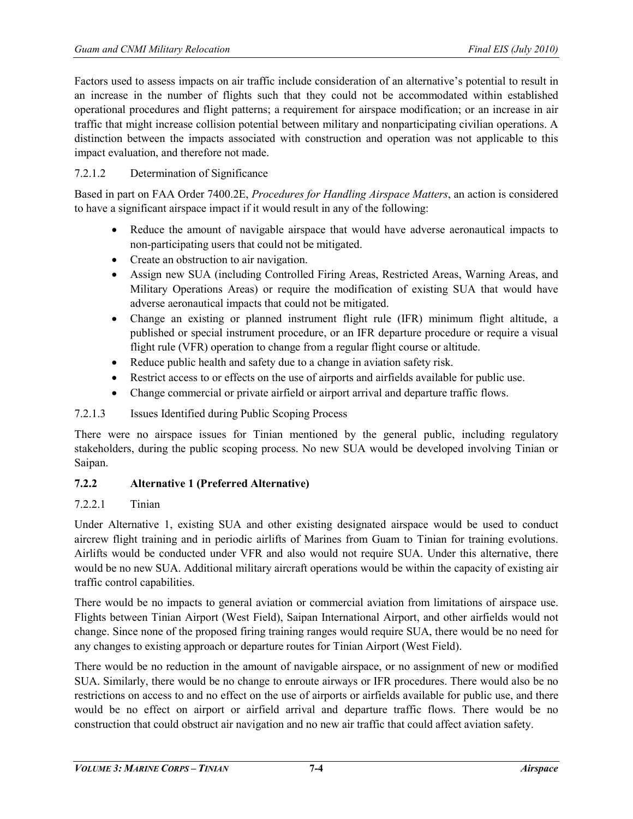Factors used to assess impacts on air traffic include consideration of an alternative's potential to result in an increase in the number of flights such that they could not be accommodated within established operational procedures and flight patterns; a requirement for airspace modification; or an increase in air traffic that might increase collision potential between military and nonparticipating civilian operations. A distinction between the impacts associated with construction and operation was not applicable to this impact evaluation, and therefore not made.

## 7.2.1.2 Determination of Significance

Based in part on FAA Order 7400.2E, *Procedures for Handling Airspace Matters*, an action is considered to have a significant airspace impact if it would result in any of the following:

- Reduce the amount of navigable airspace that would have adverse aeronautical impacts to non-participating users that could not be mitigated.
- Create an obstruction to air navigation.
- Assign new SUA (including Controlled Firing Areas, Restricted Areas, Warning Areas, and Military Operations Areas) or require the modification of existing SUA that would have adverse aeronautical impacts that could not be mitigated.
- Change an existing or planned instrument flight rule (IFR) minimum flight altitude, a published or special instrument procedure, or an IFR departure procedure or require a visual flight rule (VFR) operation to change from a regular flight course or altitude.
- Reduce public health and safety due to a change in aviation safety risk.
- Restrict access to or effects on the use of airports and airfields available for public use.
- Change commercial or private airfield or airport arrival and departure traffic flows.

## 7.2.1.3 Issues Identified during Public Scoping Process

There were no airspace issues for Tinian mentioned by the general public, including regulatory stakeholders, during the public scoping process. No new SUA would be developed involving Tinian or Saipan.

## **7.2.2 Alternative 1 (Preferred Alternative)**

## 7.2.2.1 Tinian

Under Alternative 1, existing SUA and other existing designated airspace would be used to conduct aircrew flight training and in periodic airlifts of Marines from Guam to Tinian for training evolutions. Airlifts would be conducted under VFR and also would not require SUA. Under this alternative, there would be no new SUA. Additional military aircraft operations would be within the capacity of existing air traffic control capabilities.

There would be no impacts to general aviation or commercial aviation from limitations of airspace use. Flights between Tinian Airport (West Field), Saipan International Airport, and other airfields would not change. Since none of the proposed firing training ranges would require SUA, there would be no need for any changes to existing approach or departure routes for Tinian Airport (West Field).

There would be no reduction in the amount of navigable airspace, or no assignment of new or modified SUA. Similarly, there would be no change to enroute airways or IFR procedures. There would also be no restrictions on access to and no effect on the use of airports or airfields available for public use, and there would be no effect on airport or airfield arrival and departure traffic flows. There would be no construction that could obstruct air navigation and no new air traffic that could affect aviation safety.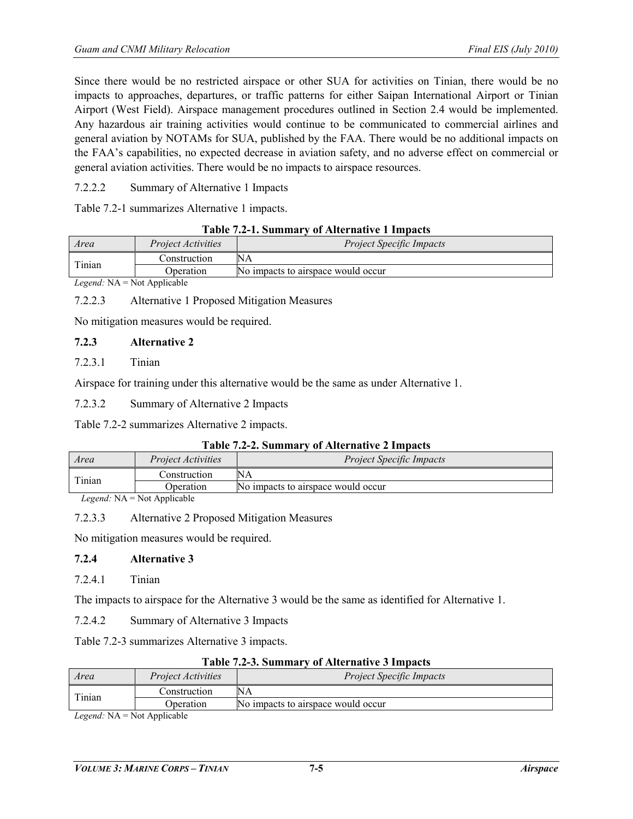Since there would be no restricted airspace or other SUA for activities on Tinian, there would be no impacts to approaches, departures, or traffic patterns for either Saipan International Airport or Tinian Airport (West Field). Airspace management procedures outlined in Section 2.4 would be implemented. Any hazardous air training activities would continue to be communicated to commercial airlines and general aviation by NOTAMs for SUA, published by the FAA. There would be no additional impacts on the FAA's capabilities, no expected decrease in aviation safety, and no adverse effect on commercial or general aviation activities. There would be no impacts to airspace resources.

7.2.2.2 Summary of Alternative 1 Impacts

Table 7.2-1 summarizes Alternative 1 impacts.

|  | Table 7.2-1. Summary of Alternative 1 Impacts |
|--|-----------------------------------------------|
|--|-----------------------------------------------|

| Area                                     | <i>Project Activities</i> | <i>Project Specific Impacts</i>    |
|------------------------------------------|---------------------------|------------------------------------|
| Tinian                                   | Construction              |                                    |
|                                          | <b>Operation</b>          | No impacts to airspace would occur |
| $I$ egend: $N \Lambda = N$ ot Annlicable |                           |                                    |

*Legend:* NA = Not Applicable

7.2.2.3 Alternative 1 Proposed Mitigation Measures

No mitigation measures would be required.

## **7.2.3 Alternative 2**

#### 7.2.3.1 Tinian

Airspace for training under this alternative would be the same as under Alternative 1.

7.2.3.2 Summary of Alternative 2 Impacts

Table 7.2-2 summarizes Alternative 2 impacts.

| Area   | <i>Project Activities</i> | <b>Project Specific Impacts</b>    |  |
|--------|---------------------------|------------------------------------|--|
| Tinian | Construction              | NΑ                                 |  |
|        | <b>Operation</b>          | No impacts to airspace would occur |  |
|        |                           |                                    |  |

*Legend:* NA = Not Applicable

## 7.2.3.3 Alternative 2 Proposed Mitigation Measures

No mitigation measures would be required.

## **7.2.4 Alternative 3**

7.2.4.1 Tinian

The impacts to airspace for the Alternative 3 would be the same as identified for Alternative 1.

7.2.4.2 Summary of Alternative 3 Impacts

Table 7.2-3 summarizes Alternative 3 impacts.

| Area       | <i>Project Activities</i> | <b>Project Specific Impacts</b>    |
|------------|---------------------------|------------------------------------|
| Tinian     | Construction              | NA                                 |
|            | <b>D</b> peration         | No impacts to airspace would occur |
| 1.711.77.1 |                           |                                    |

*Legend:* NA = Not Applicable